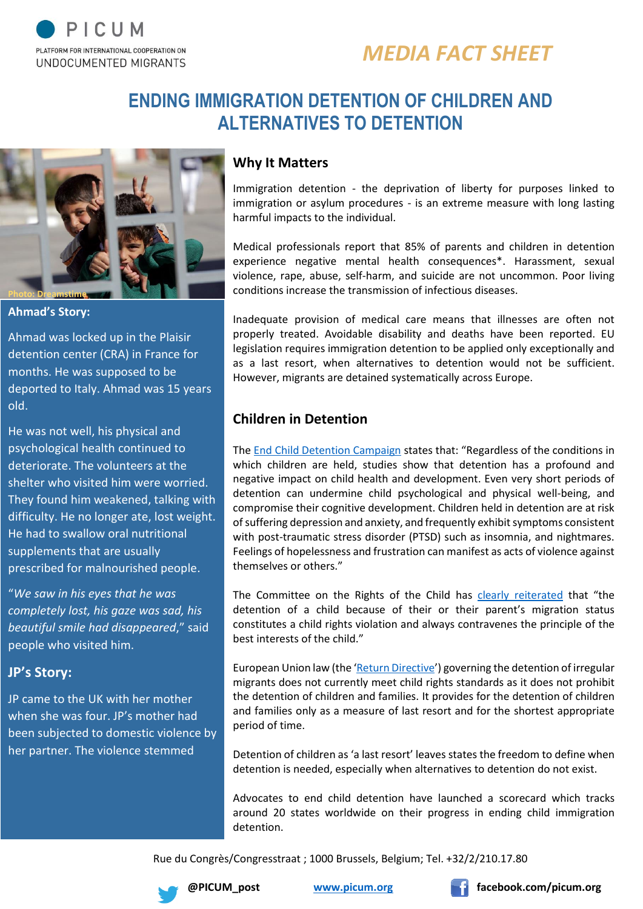

# *MEDIA FACT SHEET*

# **ENDING IMMIGRATION DETENTION OF CHILDREN AND ALTERNATIVES TO DETENTION**



**Ahmad's Story:**

Ahmad was locked up in the Plaisir detention center (CRA) in France for months. He was supposed to be deported to Italy. Ahmad was 15 years old.

He was not well, his physical and psychological health continued to deteriorate. The volunteers at the shelter who visited him were worried. They found him weakened, talking with difficulty. He no longer ate, lost weight. He had to swallow oral nutritional supplements that are usually prescribed for malnourished people.

"*We saw in his eyes that he was completely lost, his gaze was sad, his beautiful smile had disappeared*," said people who visited him.

### **JP's Story:**

JP came to the UK with her mother when she was four. JP's mother had been subjected to domestic violence by her partner. The violence stemmed

#### **Why It Matters**

Immigration detention - the deprivation of liberty for purposes linked to immigration or asylum procedures - is an extreme measure with long lasting harmful impacts to the individual.

Medical professionals report that 85% of parents and children in detention experience negative mental health consequences\*. Harassment, sexual violence, rape, abuse, self-harm, and suicide are not uncommon. Poor living conditions increase the transmission of infectious diseases.

Inadequate provision of medical care means that illnesses are often not properly treated. Avoidable disability and deaths have been reported. EU legislation requires immigration detention to be applied only exceptionally and as a last resort, when alternatives to detention would not be sufficient. However, migrants are detained systematically across Europe.

## **Children in Detention**

The [End Child Detention Campaign](https://endchilddetention.org/) states that: "Regardless of the conditions in which children are held, studies show that detention has a profound and negative impact on child health and development. Even very short periods of detention can undermine child psychological and physical well-being, and compromise their cognitive development. Children held in detention are at risk of suffering depression and anxiety, and frequently exhibit symptoms consistent with post-traumatic stress disorder (PTSD) such as insomnia, and nightmares. Feelings of hopelessness and frustration can manifest as acts of violence against themselves or others."

The Committee on the Rights of the Child has [clearly reiterated](http://www.refworld.org/docid/51efb6fa4.html) that "the detention of a child because of their or their parent's migration status constitutes a child rights violation and always contravenes the principle of the best interests of the child."

European Union law (the '[Return Directive](http://eur-lex.europa.eu/LexUriServ/LexUriServ.do?uri=OJ:L:2008:348:0098:0107:en:PDF)') governing the detention of irregular migrants does not currently meet child rights standards as it does not prohibit the detention of children and families. It provides for the detention of children and families only as a measure of last resort and for the shortest appropriate period of time.

Detention of children as 'a last resort' leaves states the freedom to define when detention is needed, especially when alternatives to detention do not exist.

Advocates to end child detention have launched a scorecard which tracks around 20 states worldwide on their progress in ending child immigration detention.

Rue du Congrès/Congresstraat ; 1000 Brussels, Belgium; Tel. +32/2/210.17.80